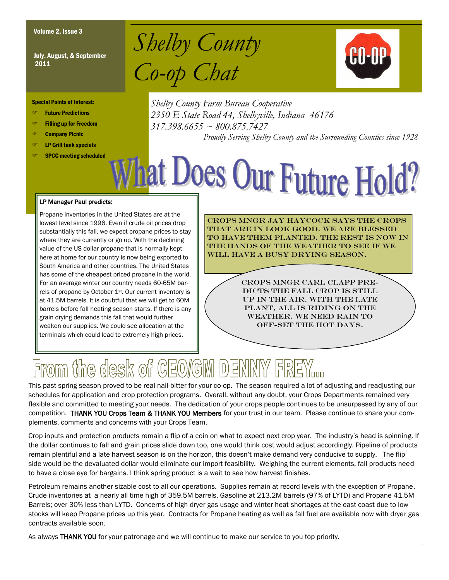July, August, & September 2011

Volume 2, Issue 3<br>*Shelby County Co-op Chat*



Special Points of Interest:

- Future Predictions
- Filling up for Freedom
- Company Picnic
- LP Grill tank specials
- SPCC meeting scheduled

*Shelby County Farm Bureau Cooperative 2350 E State Road 44, Shelbyville, Indiana 46176 317.398.6655 ~ 800.875.7427*

*Proudly Serving Shelby County and the Surrounding Counties since 1928*

# **nat Does Our Future Hold?**

#### LP Manager Paul predicts:

Propane inventories in the United States are at the lowest level since 1996. Even if crude oil prices drop substantially this fall, we expect propane prices to stay where they are currently or go up. With the declining value of the US dollar propane that is normally kept here at home for our country is now being exported to South America and other countries. The United States has some of the cheapest priced propane in the world. For an average winter our country needs 60-65M barrels of propane by October 1st. Our current inventory is at 41.5M barrels. It is doubtful that we will get to 60M barrels before fall heating season starts. If there is any grain drying demands this fall that would further weaken our supplies. We could see allocation at the terminals which could lead to extremely high prices.

Crops Mngr Jay Haycock says the crops that are in look good. We are blessed to have them planted. The rest is now in the hands of the weather to see if we will have a busy drying season.

> Crops Mngr Carl Clapp predicts the fall crop is still up in the air. With the late plant, all is riding on the WEATHER. WE NEED RAIN TO off-set the hot days.

# From the desk of CEO/GM DENNY FRI

This past spring season proved to be real nail-bitter for your co-op. The season required a lot of adjusting and readjusting our schedules for application and crop protection programs. Overall, without any doubt, your Crops Departments remained very flexible and committed to meeting your needs. The dedication of your crops people continues to be unsurpassed by any of our competition. THANK YOU Crops Team & THANK YOU Members for your trust in our team. Please continue to share your complements, comments and concerns with your Crops Team.

Crop inputs and protection products remain a flip of a coin on what to expect next crop year. The industry's head is spinning. If the dollar continues to fall and grain prices slide down too, one would think cost would adjust accordingly. Pipeline of products remain plentiful and a late harvest season is on the horizon, this doesn't make demand very conducive to supply. The flip side would be the devaluated dollar would eliminate our import feasibility. Weighing the current elements, fall products need to have a close eye for bargains. I think spring product is a wait to see how harvest finishes.

Petroleum remains another sizable cost to all our operations. Supplies remain at record levels with the exception of Propane. Crude inventories at a nearly all time high of 359.5M barrels, Gasoline at 213.2M barrels (97% of LYTD) and Propane 41.5M Barrels; over 30% less than LYTD. Concerns of high dryer gas usage and winter heat shortages at the east coast due to low stocks will keep Propane prices up this year. Contracts for Propane heating as well as fall fuel are available now with dryer gas contracts available soon.

As always THANK YOU for your patronage and we will continue to make our service to you top priority.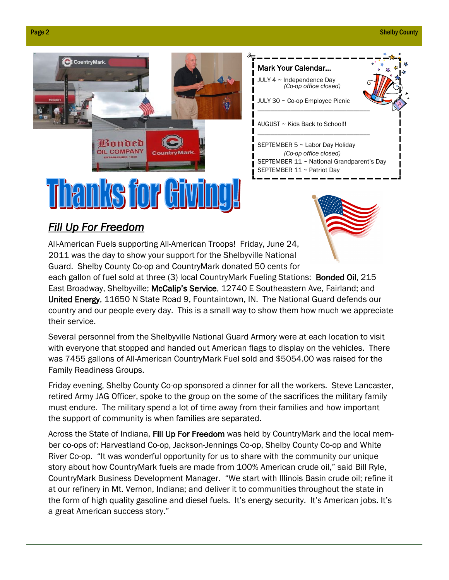



*(Co-op office closed)*

## *Fill Up For Freedom*

All-American Fuels supporting All-American Troops! Friday, June 24, 2011 was the day to show your support for the Shelbyville National Guard. Shelby County Co-op and CountryMark donated 50 cents for

each gallon of fuel sold at three (3) local CountryMark Fueling Stations: Bonded Oil, 215 East Broadway, Shelbyville; McCalip's Service, 12740 E Southeastern Ave, Fairland; and United Energy, 11650 N State Road 9, Fountaintown, IN. The National Guard defends our country and our people every day. This is a small way to show them how much we appreciate their service.

Several personnel from the Shelbyville National Guard Armory were at each location to visit with everyone that stopped and handed out American flags to display on the vehicles. There was 7455 gallons of All-American CountryMark Fuel sold and \$5054.00 was raised for the Family Readiness Groups.

Friday evening, Shelby County Co-op sponsored a dinner for all the workers. Steve Lancaster, retired Army JAG Officer, spoke to the group on the some of the sacrifices the military family must endure. The military spend a lot of time away from their families and how important the support of community is when families are separated.

Across the State of Indiana, Fill Up For Freedom was held by CountryMark and the local member co-ops of: Harvestland Co-op, Jackson-Jennings Co-op, Shelby County Co-op and White River Co-op. "It was wonderful opportunity for us to share with the community our unique story about how CountryMark fuels are made from 100% American crude oil," said Bill Ryle, CountryMark Business Development Manager. "We start with Illinois Basin crude oil; refine it at our refinery in Mt. Vernon, Indiana; and deliver it to communities throughout the state in the form of high quality gasoline and diesel fuels. It's energy security. It's American jobs. It's a great American success story."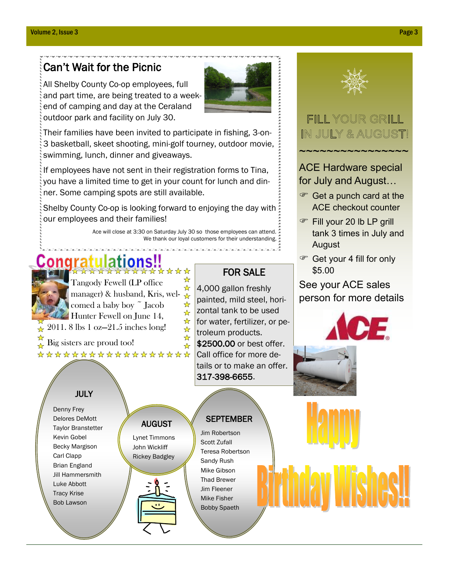### Can't Wait for the Picnic

All Shelby County Co-op employees, full and part time, are being treated to a weekend of camping and day at the Ceraland outdoor park and facility on July 30.



Their families have been invited to participate in fishing, 3-on-3 basketball, skeet shooting, mini-golf tourney, outdoor movie, swimming, lunch, dinner and giveaways.

If employees have not sent in their registration forms to Tina, you have a limited time to get in your count for lunch and dinner. Some camping spots are still available.

Shelby County Co-op is looking forward to enjoying the day with our employees and their families!

> AUGUST Lynet Timmons John Wickliff Rickey Badgley

Ace will close at 3:30 on Saturday July 30 so those employees can attend. We thank our loyal customers for their understanding.

# \*\*\*\*\*\*\*

☆ Tangody Fewell (LP office  $\frac{1}{\sqrt{2}}$ manager) & husband, Kris, wel- $\frac{a}{x}$ comed a baby boy ~ Jacob ☆  $\frac{1}{\sqrt{2}}$ Hunter Fewell on June 14,  $\frac{1}{\sqrt{2}}$ 2011. 8 lbs 1 oz—21.5 inches long!  $\frac{1}{\sqrt{2}}$  $\frac{1}{\sqrt{2}}$ Big sisters are proud too! ☆ \*\*\*\*\*\*\*\*\*\*\*\*\*\*\*\*\*\*

### FOR SALE

4,000 gallon freshly painted, mild steel, horizontal tank to be used for water, fertilizer, or petroleum products. \$2500.00 or best offer. Call office for more details or to make an offer. 317-398-6655.

#### JULY

 $\star$ 

☆

Denny Frey Delores DeMott Taylor Branstetter Kevin Gobel Becky Margison Carl Clapp Brian England Jill Hammersmith Luke Abbott Tracy Krise Bob Lawson

### **SEPTEMBER**

Jim Robertson Scott Zufall Teresa Robertson Sandy Rush Mike Gibson Thad Brewer Jim Fleener Mike Fisher Bobby Spaeth



# FILL YOUR GRILL IN JULY & AUGUST!

~~~~~~~~~~~~~~~

ACE Hardware special for July and August…

- Get a punch card at the ACE checkout counter
- Fill your 20 lb LP grill tank 3 times in July and August
- Get your 4 fill for only \$5.00

See your ACE sales person for more details